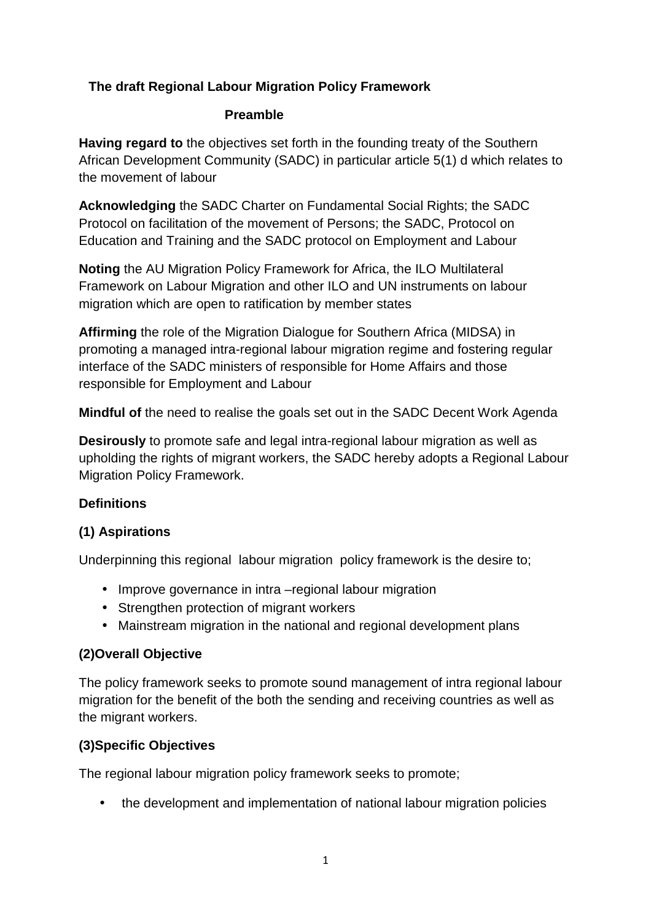### **The draft Regional Labour Migration Policy Framework**

#### **Preamble**

**Having regard to** the objectives set forth in the founding treaty of the Southern African Development Community (SADC) in particular article 5(1) d which relates to the movement of labour

**Acknowledging** the SADC Charter on Fundamental Social Rights; the SADC Protocol on facilitation of the movement of Persons; the SADC, Protocol on Education and Training and the SADC protocol on Employment and Labour

**Noting** the AU Migration Policy Framework for Africa, the ILO Multilateral Framework on Labour Migration and other ILO and UN instruments on labour migration which are open to ratification by member states

**Affirming** the role of the Migration Dialogue for Southern Africa (MIDSA) in promoting a managed intra-regional labour migration regime and fostering regular interface of the SADC ministers of responsible for Home Affairs and those responsible for Employment and Labour

**Mindful of** the need to realise the goals set out in the SADC Decent Work Agenda

**Desirously** to promote safe and legal intra-regional labour migration as well as upholding the rights of migrant workers, the SADC hereby adopts a Regional Labour Migration Policy Framework.

### **Definitions**

## **(1) Aspirations**

Underpinning this regional labour migration policy framework is the desire to;

- Improve governance in intra –regional labour migration
- Strengthen protection of migrant workers
- Mainstream migration in the national and regional development plans

## **(2)Overall Objective**

The policy framework seeks to promote sound management of intra regional labour migration for the benefit of the both the sending and receiving countries as well as the migrant workers.

## **(3)Specific Objectives**

The regional labour migration policy framework seeks to promote;

• the development and implementation of national labour migration policies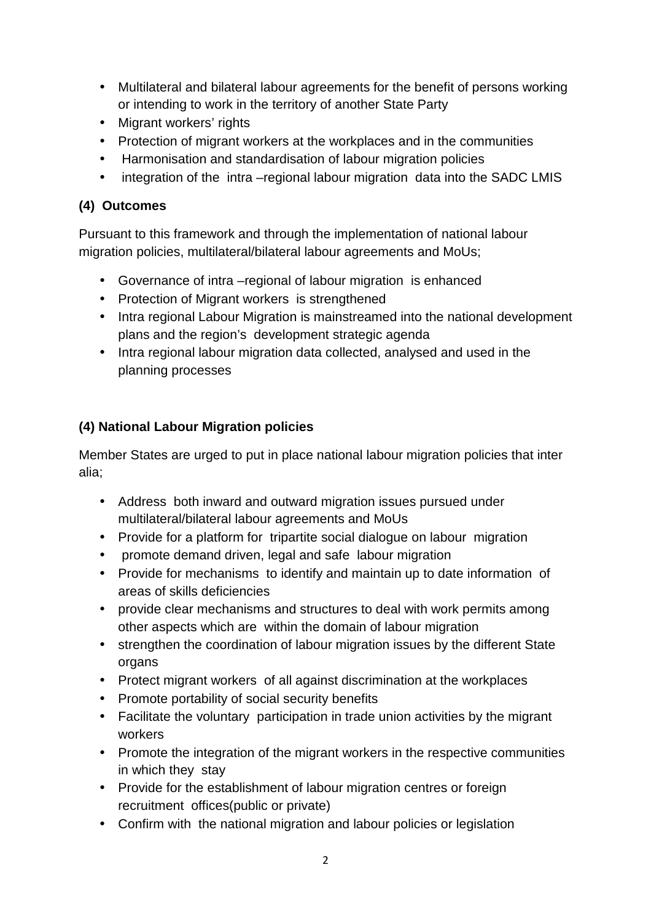- Multilateral and bilateral labour agreements for the benefit of persons working or intending to work in the territory of another State Party
- Migrant workers' rights
- Protection of migrant workers at the workplaces and in the communities
- Harmonisation and standardisation of labour migration policies
- integration of the intra –regional labour migration data into the SADC LMIS

## **(4) Outcomes**

Pursuant to this framework and through the implementation of national labour migration policies, multilateral/bilateral labour agreements and MoUs;

- Governance of intra –regional of labour migration is enhanced
- Protection of Migrant workers is strengthened
- Intra regional Labour Migration is mainstreamed into the national development plans and the region's development strategic agenda
- Intra regional labour migration data collected, analysed and used in the planning processes

# **(4) National Labour Migration policies**

Member States are urged to put in place national labour migration policies that inter alia;

- Address both inward and outward migration issues pursued under multilateral/bilateral labour agreements and MoUs
- Provide for a platform for tripartite social dialogue on labour migration
- promote demand driven, legal and safe labour migration
- Provide for mechanisms to identify and maintain up to date information of areas of skills deficiencies
- provide clear mechanisms and structures to deal with work permits among other aspects which are within the domain of labour migration
- strengthen the coordination of labour migration issues by the different State organs
- Protect migrant workers of all against discrimination at the workplaces
- Promote portability of social security benefits
- Facilitate the voluntary participation in trade union activities by the migrant workers
- Promote the integration of the migrant workers in the respective communities in which they stay
- Provide for the establishment of labour migration centres or foreign recruitment offices(public or private)
- Confirm with the national migration and labour policies or legislation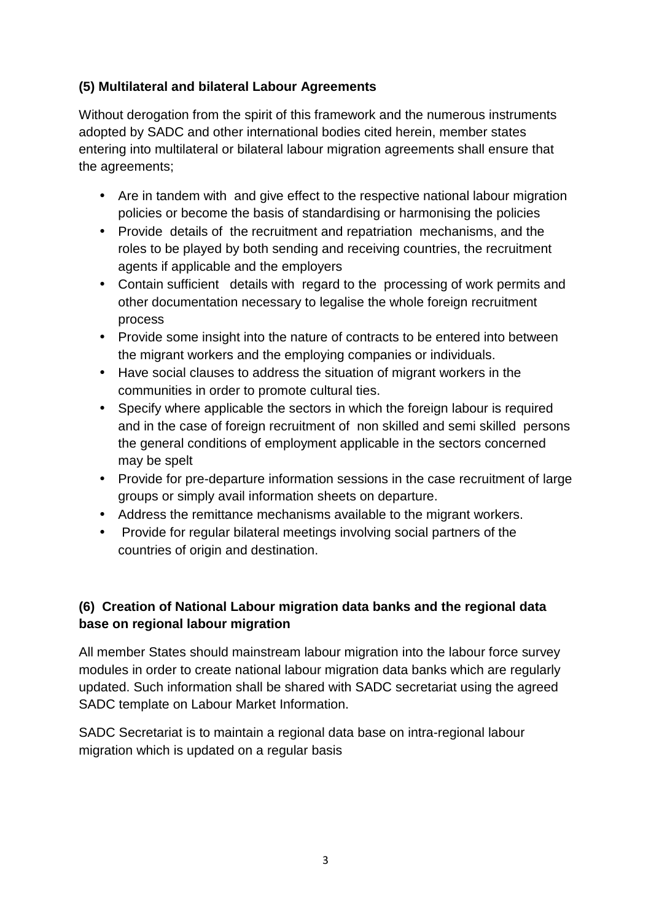## **(5) Multilateral and bilateral Labour Agreements**

Without derogation from the spirit of this framework and the numerous instruments adopted by SADC and other international bodies cited herein, member states entering into multilateral or bilateral labour migration agreements shall ensure that the agreements;

- Are in tandem with and give effect to the respective national labour migration policies or become the basis of standardising or harmonising the policies
- Provide details of the recruitment and repatriation mechanisms, and the roles to be played by both sending and receiving countries, the recruitment agents if applicable and the employers
- Contain sufficient details with regard to the processing of work permits and other documentation necessary to legalise the whole foreign recruitment process
- Provide some insight into the nature of contracts to be entered into between the migrant workers and the employing companies or individuals.
- Have social clauses to address the situation of migrant workers in the communities in order to promote cultural ties.
- Specify where applicable the sectors in which the foreign labour is required and in the case of foreign recruitment of non skilled and semi skilled persons the general conditions of employment applicable in the sectors concerned may be spelt
- Provide for pre-departure information sessions in the case recruitment of large groups or simply avail information sheets on departure.
- Address the remittance mechanisms available to the migrant workers.
- Provide for regular bilateral meetings involving social partners of the countries of origin and destination.

# **(6) Creation of National Labour migration data banks and the regional data base on regional labour migration**

All member States should mainstream labour migration into the labour force survey modules in order to create national labour migration data banks which are regularly updated. Such information shall be shared with SADC secretariat using the agreed SADC template on Labour Market Information.

SADC Secretariat is to maintain a regional data base on intra-regional labour migration which is updated on a regular basis